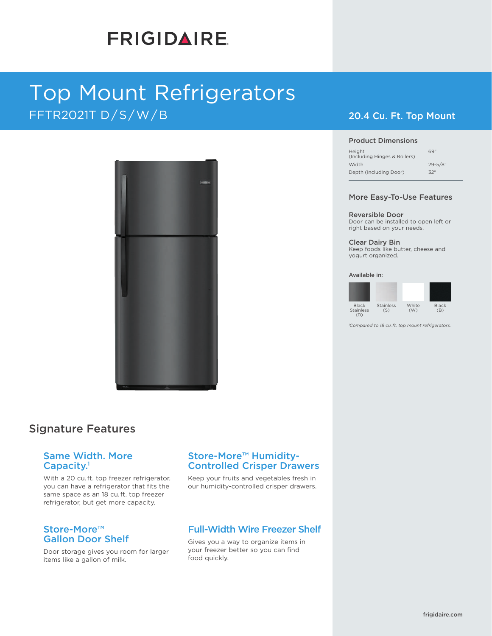# **FRIGIDAIRE**

# Top Mount Refrigerators FFTR2021T D/S/W/B 20.4 Cu. Ft. Top Mount



### Signature Features

#### Same Width. More Capacity.<sup>1</sup>

With a 20 cu. ft. top freezer refrigerator, you can have a refrigerator that fits the same space as an 18 cu. ft. top freezer refrigerator, but get more capacity.

#### Store-More™ Gallon Door Shelf

Door storage gives you room for larger items like a gallon of milk.

#### Store-More™ Humidity-Controlled Crisper Drawers

Keep your fruits and vegetables fresh in our humidity-controlled crisper drawers.

### Full-Width Wire Freezer Shelf

Gives you a way to organize items in your freezer better so you can find food quickly.

#### Product Dimensions

| Height<br>(Including Hinges & Rollers) | 69"          |
|----------------------------------------|--------------|
| Width                                  | $29 - 5/8$ " |
| Depth (Including Door)                 | 32"          |

#### More Easy-To-Use Features

#### Reversible Door

Door can be installed to open left or right based on your needs.

Clear Dairy Bin

Keep foods like butter, cheese and yogurt organized.

#### Available in:



*1 Compared to 18 cu. ft. top mount refrigerators.*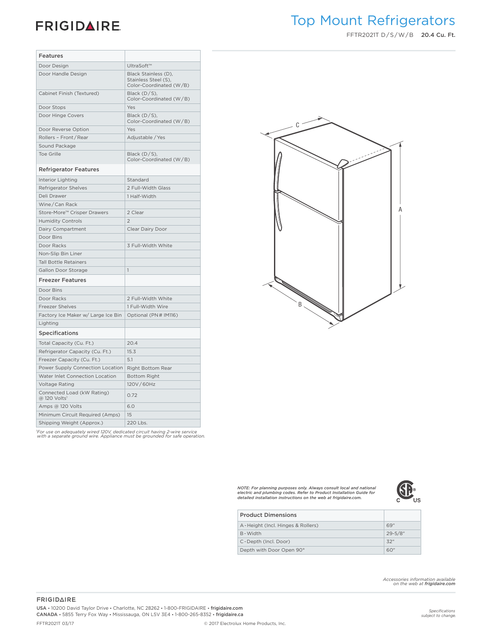### **FRIGIDAIRE**

## Top Mount Refrigerators

FFTR2021T D/S/W/B 20.4 Cu. Ft.

| Features                                               |                                                                         |
|--------------------------------------------------------|-------------------------------------------------------------------------|
| Door Design                                            | UltraSoft™                                                              |
| Door Handle Design                                     | Black Stainless (D),<br>Stainless Steel (S),<br>Color-Coordinated (W/B) |
| Cabinet Finish (Textured)                              | Black (D/S),<br>Color-Coordinated (W/B)                                 |
| Door Stops                                             | Yes                                                                     |
| Door Hinge Covers                                      | Black $(D/S)$ ,<br>Color-Coordinated (W/B)                              |
| Door Reverse Option                                    | Yes                                                                     |
| Rollers - Front/Rear                                   | Adjustable / Yes                                                        |
| Sound Package                                          |                                                                         |
| <b>Toe Grille</b>                                      | Black (D/S),<br>Color-Coordinated (W/B)                                 |
| <b>Refrigerator Features</b>                           |                                                                         |
| Interior Lighting                                      | Standard                                                                |
| Refrigerator Shelves                                   | 2 Full-Width Glass                                                      |
| Deli Drawer                                            | 1 Half-Width                                                            |
| Wine/Can Rack                                          |                                                                         |
| Store-More™ Crisper Drawers                            | 2 Clear                                                                 |
| <b>Humidity Controls</b>                               | $\overline{2}$                                                          |
| Dairy Compartment                                      | Clear Dairy Door                                                        |
| Door Bins                                              |                                                                         |
| Door Racks                                             | 3 Full-Width White                                                      |
| Non-Slip Bin Liner                                     |                                                                         |
| <b>Tall Bottle Retainers</b>                           |                                                                         |
| Gallon Door Storage                                    | $\mathbf{1}$                                                            |
| <b>Freezer Features</b>                                |                                                                         |
| Door Bins                                              |                                                                         |
| Door Racks                                             | 2 Full-Width White                                                      |
| Freezer Shelves                                        | 1 Full-Width Wire                                                       |
| Factory Ice Maker w/ Large Ice Bin                     | Optional (PN# IM116)                                                    |
| Lighting                                               |                                                                         |
| <b>Specifications</b>                                  |                                                                         |
| Total Capacity (Cu. Ft.)                               | 20.4                                                                    |
| Refrigerator Capacity (Cu. Ft.)                        | 15.3                                                                    |
| Freezer Capacity (Cu. Ft.)                             | 5.1                                                                     |
| Power Supply Connection Location                       | Right Bottom Rear                                                       |
| Water Inlet Connection Location                        | <b>Bottom Right</b>                                                     |
| <b>Voltage Rating</b>                                  | 120V/60Hz                                                               |
| Connected Load (kW Rating)<br>@ 120 Volts <sup>1</sup> | 0.72                                                                    |
| Amps @ 120 Volts                                       | 6.0                                                                     |
| Minimum Circuit Required (Amps)                        | 15                                                                      |
| Shipping Weight (Approx.)                              | 220 Lbs.                                                                |
|                                                        |                                                                         |

*1 For use on adequately wired 120V, dedicated circuit having 2-wire service with a separate ground wire. Appliance must be grounded for safe operation.*



*minimum clearance will ONLY allow for 90*°*door swing which will provide limited crisper access NOTE: For planning purposes only. Always consult local and national electric and plumbing codes. Refer to Product Installation Guide for detailed installation instructions on the web at frigidaire.com.*



| <b>Product Dimensions</b>         |              |
|-----------------------------------|--------------|
| A-Height (Incl. Hinges & Rollers) | 69"          |
| B-Width                           | $29 - 5/8$ " |
| C-Depth (Incl. Door)              | 32"          |
| Depth with Door Open 90°          | 60"          |

*Accessories information available on the web at frigidaire.com*

#### **FRIGIDAIRE**

USA • 10200 David Taylor Drive • Charlotte, NC 28262 • 1-800-FRIGIDAIRE • frigidaire.com CANADA • 5855 Terry Fox Way • Mississauga, ON L5V 3E4 • 1-800-265-8352 • frigidaire.ca